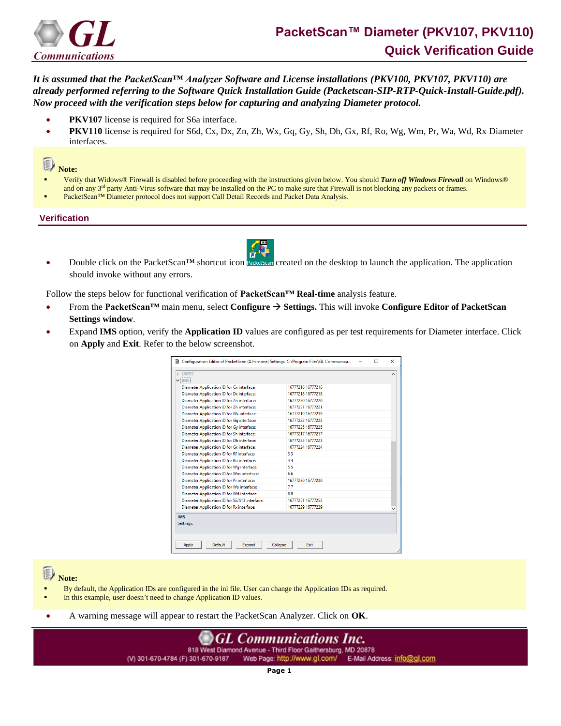

*It is assumed that the PacketScan™ Analyzer Software and License installations (PKV100, PKV107, PKV110) are already performed referring to the Software Quick Installation Guide (Packetscan-SIP-RTP-Quick-Install-Guide.pdf). Now proceed with the verification steps below for capturing and analyzing Diameter protocol.*

- **PKV107** license is required for S6a interface.
- **PKV110** license is required for S6d, Cx, Dx, Zn, Zh, Wx, Gq, Gy, Sh, Dh, Gx, Rf, Ro, Wg, Wm, Pr, Wa, Wd, Rx Diameter interfaces.

## 3 **Note:**

- Verify that Widows® Firewall is disabled before proceeding with the instructions given below. You should *Turn off Windows Firewall* on Windows® and on any  $3<sup>rd</sup>$  party Anti-Virus software that may be installed on the PC to make sure that Firewall is not blocking any packets or frames.
- PacketScan™ Diameter protocol does not support Call Detail Records and Packet Data Analysis.

## **Verification**

Double click on the PacketScan™ shortcut icon **PacketScan** created on the desktop to launch the application. The application should invoke without any errors.

Follow the steps below for functional verification of **PacketScan™ Real-time** analysis feature.

- From the **PacketScan™** main menu, select **Configure** → **Settings.** This will invoke **Configure Editor of PacketScan Settings window**.
- Expand **IMS** option, verify the **Application ID** values are configured as per test requirements for Diameter interface. Click on **Apply** and **Exit**. Refer to the below screenshot.

| $~\vee$ IMS                                      |                   |  |
|--------------------------------------------------|-------------------|--|
| Diameter Application ID for Cx interface:        | 16777216 16777216 |  |
| Diameter Application ID for Dx interface:        | 16777218 16777218 |  |
| <b>Diameter Application ID for Zn interface:</b> | 16777220 16777220 |  |
| Diameter Application ID for Zh interface:        | 16777221 16777221 |  |
| Diameter Application ID for Wx interface:        | 16777219 16777219 |  |
| Diameter Application ID for Gq interface:        | 16777222 16777222 |  |
| Diameter Application ID for Gy interface:        | 16777225 16777225 |  |
| Diameter Application ID for Sh interface:        | 16777217 16777217 |  |
| Diameter Application ID for Dh interface:        | 16777223 16777223 |  |
| Diameter Application ID for Gx interface:        | 16777224 16777224 |  |
| <b>Diameter Application ID for Rf interface:</b> | 33                |  |
| Diameter Application ID for Ro interface:        | $\Delta \Delta$   |  |
| Diameter Application ID for Wg interface:        | 55                |  |
| Diameter Application ID for Wm interface:        | 66                |  |
| Diameter Application ID for Pr interface:        | 16777230 16777230 |  |
| Diameter Application ID for Wa interface:        | 77                |  |
| Diameter Application ID for Wd interface:        | R R               |  |
| Diameter Application ID for S6/S13 interface:    | 16777251 16777252 |  |
| <b>Diameter Application ID for Rx interface:</b> | 16777229 16777229 |  |

**Note:**

- By default, the Application IDs are configured in the ini file. User can change the Application IDs as required.
- In this example, user doesn't need to change Application ID values.
- A warning message will appear to restart the PacketScan Analyzer. Click on **OK**.

**GL Communications Inc.** 818 West Diamond Avenue - Third Floor Gaithersburg, MD 20878 (V) 301-670-4784 (F) 301-670-9187 Web Page: http://www.gl.com/ E-Mail Address: info@gl.com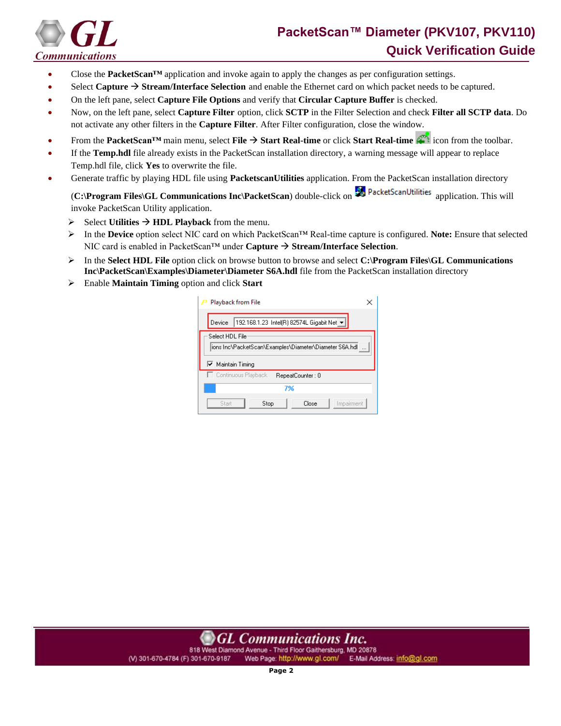

## **PacketScan™ Diameter (PKV107, PKV110) Quick Verification Guide**

- Close the **PacketScan™** application and invoke again to apply the changes as per configuration settings.
- Select **Capture** → **Stream/Interface Selection** and enable the Ethernet card on which packet needs to be captured.
- On the left pane, select **Capture File Options** and verify that **Circular Capture Buffer** is checked.
- Now, on the left pane, select **Capture Filter** option, click **SCTP** in the Filter Selection and check **Filter all SCTP data**. Do not activate any other filters in the **Capture Filter**. After Filter configuration, close the window.
- From the **PacketScan™** main menu, select **File** → **Start Real-time** or click **Start Real-time** icon from the toolbar.
- If the **Temp.hdl** file already exists in the PacketScan installation directory, a warning message will appear to replace Temp.hdl file, click **Yes** to overwrite the file.
- Generate traffic by playing HDL file using **PacketscanUtilities** application. From the PacketScan installation directory

(**C:\Program Files\GL Communications Inc\PacketScan**) double-click on **and PacketScanUtilities** application. This will invoke PacketScan Utility application.

- $\triangleright$  Select **Utilities**  $\rightarrow$  **HDL Playback** from the menu.
- ➢ In the **Device** option select NIC card on which PacketScan™ Real-time capture is configured. **Note:** Ensure that selected NIC card is enabled in PacketScan™ under **Capture** → **Stream/Interface Selection**.
- ➢ In the **Select HDL File** option click on browse button to browse and select **C:\Program Files\GL Communications Inc\PacketScan\Examples\Diameter\Diameter S6A.hdl** file from the PacketScan installation directory
- ➢ Enable **Maintain Timing** option and click **Start**

| Playback from File                                                                             |  |  |  |  |  |  |  |  |
|------------------------------------------------------------------------------------------------|--|--|--|--|--|--|--|--|
| 192.168.1.23 Intel(R) 82574L Gigabit Net $\blacktriangleright$<br>Device                       |  |  |  |  |  |  |  |  |
| Select HDL File<br>ions Inc\PacketScan\Examples\Diameter\Diameter S6A.hdl<br>Ⅳ Maintain Timing |  |  |  |  |  |  |  |  |
| □ Continuous Playback<br>RepeatCounter: 0                                                      |  |  |  |  |  |  |  |  |
| 7%                                                                                             |  |  |  |  |  |  |  |  |
| Impairment<br>Close<br>Start<br>Stop                                                           |  |  |  |  |  |  |  |  |